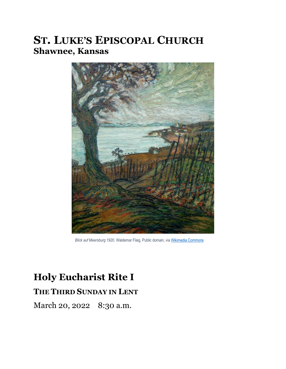# **ST. LUKE'S EPISCOPAL CHURCH Shawnee, Kansas**



*Blick auf Meersburg 1920.* Waldemar Flaig, Public domain, vi[a Wikimedia Commons](https://commons.wikimedia.org/wiki/File:Waldemar_Flaig_Blick_auf_Meersburg_1920.jpg)

# **Holy Eucharist Rite I**

# **THE THIRD SUNDAY IN LENT**

March 20, 2022 8:30 a.m.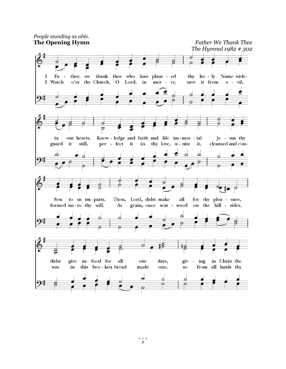*People standing as able.*

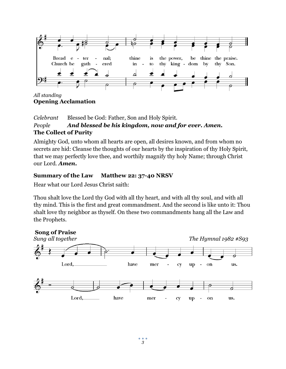

*All standing* **Opening Acclamation**

# *Celebrant* Blessed be God: Father, Son and Holy Spirit.

# *People And blessed be his kingdom, now and for ever. Amen.* **The Collect of Purity**

Almighty God, unto whom all hearts are open, all desires known, and from whom no secrets are hid: Cleanse the thoughts of our hearts by the inspiration of thy Holy Spirit, that we may perfectly love thee, and worthily magnify thy holy Name; through Christ our Lord. *Amen.*

# **Summary of the Law Matthew 22: 37-40 NRSV**

Hear what our Lord Jesus Christ saith:

Thou shalt love the Lord thy God with all thy heart, and with all thy soul, and with all thy mind. This is the first and great commandment. And the second is like unto it: Thou shalt love thy neighbor as thyself. On these two commandments hang all the Law and the Prophets.

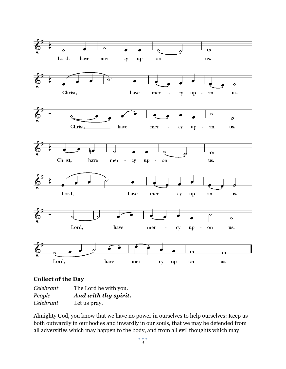

# **Collect of the Day**

| Celebrant | The Lord be with you. |
|-----------|-----------------------|
| People    | And with thy spirit.  |
| Celebrant | Let us pray.          |

Almighty God, you know that we have no power in ourselves to help ourselves: Keep us both outwardly in our bodies and inwardly in our souls, that we may be defended from all adversities which may happen to the body, and from all evil thoughts which may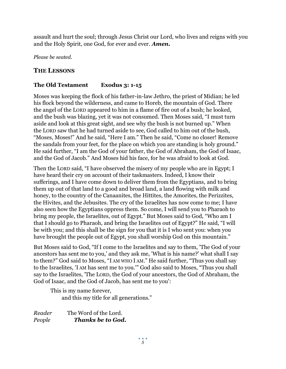assault and hurt the soul; through Jesus Christ our Lord, who lives and reigns with you and the Holy Spirit, one God, for ever and ever. *Amen.*

*Please be seated.*

# **THE LESSONS**

# **The Old Testament Exodus 3: 1-15**

Moses was keeping the flock of his father-in-law Jethro, the priest of Midian; he led his flock beyond the wilderness, and came to Horeb, the mountain of God. There the angel of the LORD appeared to him in a flame of fire out of a bush; he looked, and the bush was blazing, yet it was not consumed. Then Moses said, "I must turn aside and look at this great sight, and see why the bush is not burned up." When the LORD saw that he had turned aside to see, God called to him out of the bush, "Moses, Moses!" And he said, "Here I am." Then he said, "Come no closer! Remove the sandals from your feet, for the place on which you are standing is holy ground." He said further, "I am the God of your father, the God of Abraham, the God of Isaac, and the God of Jacob." And Moses hid his face, for he was afraid to look at God.

Then the LORD said, "I have observed the misery of my people who are in Egypt; I have heard their cry on account of their taskmasters. Indeed, I know their sufferings, and I have come down to deliver them from the Egyptians, and to bring them up out of that land to a good and broad land, a land flowing with milk and honey, to the country of the Canaanites, the Hittites, the Amorites, the Perizzites, the Hivites, and the Jebusites. The cry of the Israelites has now come to me; I have also seen how the Egyptians oppress them. So come, I will send you to Pharaoh to bring my people, the Israelites, out of Egypt." But Moses said to God, "Who am I that I should go to Pharaoh, and bring the Israelites out of Egypt?" He said, "I will be with you; and this shall be the sign for you that it is I who sent you: when you have brought the people out of Egypt, you shall worship God on this mountain."

But Moses said to God, "If I come to the Israelites and say to them, 'The God of your ancestors has sent me to you,' and they ask me, 'What is his name?' what shall I say to them?" God said to Moses, "I AM WHO I AM." He said further, "Thus you shall say to the Israelites, 'I AM has sent me to you.'" God also said to Moses, "Thus you shall say to the Israelites, 'The LORD, the God of your ancestors, the God of Abraham, the God of Isaac, and the God of Jacob, has sent me to you':

This is my name forever, and this my title for all generations."

| Reader | The Word of the Lord.    |
|--------|--------------------------|
| People | <b>Thanks be to God.</b> |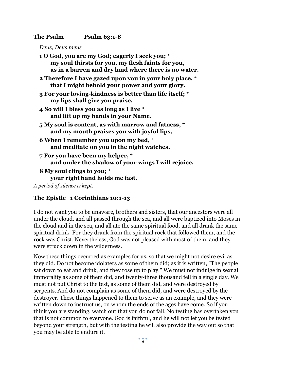#### **The Psalm Psalm 63:1-8**

*Deus, Deus meus*

| 1 O God, you are my God; eagerly I seek you; *<br>my soul thirsts for you, my flesh faints for you,<br>as in a barren and dry land where there is no water. |  |
|-------------------------------------------------------------------------------------------------------------------------------------------------------------|--|
| 2 Therefore I have gazed upon you in your holy place, *<br>that I might behold your power and your glory.                                                   |  |
| 3 For your loving-kindness is better than life itself; *<br>my lips shall give you praise.                                                                  |  |
| 4 So will I bless you as long as I live *<br>and lift up my hands in your Name.                                                                             |  |
| 5 My soul is content, as with marrow and fatness, *<br>and my mouth praises you with joyful lips,                                                           |  |
| 6 When I remember you upon my bed, *<br>and meditate on you in the night watches.                                                                           |  |
| 7 For you have been my helper, *<br>and under the shadow of your wings I will rejoice.                                                                      |  |
| 8 My soul clings to you; *<br>your right hand holds me fast.                                                                                                |  |
| A period of silence is kept.                                                                                                                                |  |
|                                                                                                                                                             |  |

# **The Epistle 1 Corinthians 10:1-13**

I do not want you to be unaware, brothers and sisters, that our ancestors were all under the cloud, and all passed through the sea, and all were baptized into Moses in the cloud and in the sea, and all ate the same spiritual food, and all drank the same spiritual drink. For they drank from the spiritual rock that followed them, and the rock was Christ. Nevertheless, God was not pleased with most of them, and they were struck down in the wilderness.

Now these things occurred as examples for us, so that we might not desire evil as they did. Do not become idolaters as some of them did; as it is written, "The people sat down to eat and drink, and they rose up to play." We must not indulge in sexual immorality as some of them did, and twenty-three thousand fell in a single day. We must not put Christ to the test, as some of them did, and were destroyed by serpents. And do not complain as some of them did, and were destroyed by the destroyer. These things happened to them to serve as an example, and they were written down to instruct us, on whom the ends of the ages have come. So if you think you are standing, watch out that you do not fall. No testing has overtaken you that is not common to everyone. God is faithful, and he will not let you be tested beyond your strength, but with the testing he will also provide the way out so that you may be able to endure it.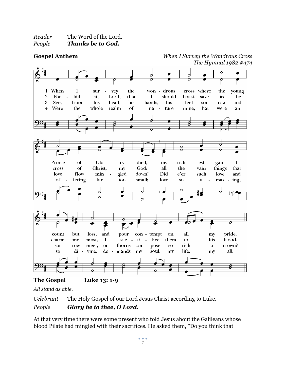| Reader | The Word of the Lord.    |
|--------|--------------------------|
| People | <b>Thanks be to God.</b> |



*All stand as able.*

*Celebrant* The Holy Gospel of our Lord Jesus Christ according to Luke. *People Glory be to thee, O Lord.*

At that very time there were some present who told Jesus about the Galileans whose blood Pilate had mingled with their sacrifices. He asked them, "Do you think that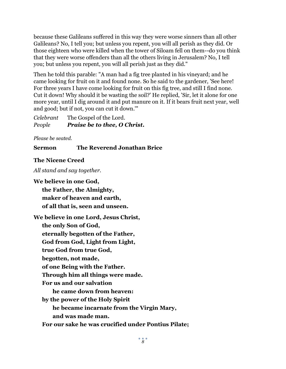because these Galileans suffered in this way they were worse sinners than all other Galileans? No, I tell you; but unless you repent, you will all perish as they did. Or those eighteen who were killed when the tower of Siloam fell on them--do you think that they were worse offenders than all the others living in Jerusalem? No, I tell you; but unless you repent, you will all perish just as they did."

Then he told this parable: "A man had a fig tree planted in his vineyard; and he came looking for fruit on it and found none. So he said to the gardener, 'See here! For three years I have come looking for fruit on this fig tree, and still I find none. Cut it down! Why should it be wasting the soil?' He replied, 'Sir, let it alone for one more year, until I dig around it and put manure on it. If it bears fruit next year, well and good; but if not, you can cut it down.'"

| Celebrant | The Gospel of the Lord.      |
|-----------|------------------------------|
| People    | Praise be to thee, O Christ. |

*Please be seated.*

# **Sermon The Reverend Jonathan Brice**

# **The Nicene Creed**

*All stand and say together.*

#### **We believe in one God,**

**the Father, the Almighty, maker of heaven and earth, of all that is, seen and unseen.**

**We believe in one Lord, Jesus Christ,**

**the only Son of God,**

**eternally begotten of the Father,**

**God from God, Light from Light,**

**true God from true God,**

**begotten, not made,**

**of one Being with the Father.**

**Through him all things were made.**

**For us and our salvation**

**he came down from heaven:**

**by the power of the Holy Spirit**

**he became incarnate from the Virgin Mary,**

**and was made man.**

**For our sake he was crucified under Pontius Pilate;**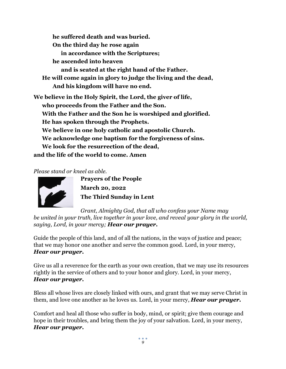**he suffered death and was buried. On the third day he rose again in accordance with the Scriptures; he ascended into heaven and is seated at the right hand of the Father. He will come again in glory to judge the living and the dead, And his kingdom will have no end. We believe in the Holy Spirit, the Lord, the giver of life, who proceeds from the Father and the Son. With the Father and the Son he is worshiped and glorified. He has spoken through the Prophets. We believe in one holy catholic and apostolic Church. We acknowledge one baptism for the forgiveness of sins. We look for the resurrection of the dead, and the life of the world to come. Amen**

*Please stand or kneel as able.*



**Prayers of the People March 20, 2022 The Third Sunday in Lent**

*Grant, Almighty God, that all who confess your Name may be united in your truth, live together in your love, and reveal your glory in the world, saying, Lord, in your mercy; Hear our prayer.*

Guide the people of this land, and of all the nations, in the ways of justice and peace; that we may honor one another and serve the common good. Lord, in your mercy, *Hear our prayer.*

Give us all a reverence for the earth as your own creation, that we may use its resources rightly in the service of others and to your honor and glory. Lord, in your mercy, *Hear our prayer.*

Bless all whose lives are closely linked with ours, and grant that we may serve Christ in them, and love one another as he loves us. Lord, in your mercy, *Hear our prayer.*

Comfort and heal all those who suffer in body, mind, or spirit; give them courage and hope in their troubles, and bring them the joy of your salvation. Lord, in your mercy, *Hear our prayer.*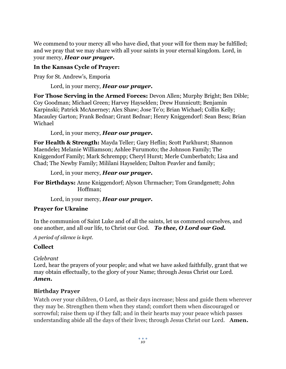We commend to your mercy all who have died, that your will for them may be fulfilled; and we pray that we may share with all your saints in your eternal kingdom. Lord, in your mercy, *Hear our prayer.*

# **In the Kansas Cycle of Prayer:**

Pray for St. Andrew's, Emporia

Lord, in your mercy, *Hear our prayer.*

**For Those Serving in the Armed Forces:** Devon Allen; Murphy Bright; Ben Dible; Coy Goodman; Michael Green; Harvey Hayselden; Drew Hunnicutt; Benjamin Karpinski; Patrick McAnerney; Alex Shaw; Jose Te'o; Brian Wichael; Collin Kelly; Macauley Garton; Frank Bednar; Grant Bednar; Henry Kniggendorf: Sean Bess; Brian Wichael

Lord, in your mercy, *Hear our prayer.*

**For Health & Strength:** Mayda Teller; Gary Heflin; Scott Parkhurst; Shannon Maendele**;** Melanie Williamson; Ashlee Furumoto; the Johnson Family; The Kniggendorf Family; Mark Schrempp; Cheryl Hurst; Merle Cumberbatch; Lisa and Chad; The Newby Family; Mililani Hayselden; Dalton Peavler and family;

Lord, in your mercy, *Hear our prayer.*

**For Birthdays:** Anne Kniggendorf; Alyson Uhrmacher; Tom Grandgenett; John Hoffman;

Lord, in your mercy, *Hear our prayer.*

# **Prayer for Ukraine**

In the communion of Saint Luke and of all the saints, let us commend ourselves, and one another, and all our life, to Christ our God. *To thee, O Lord our God.*

*A period of silence is kept.*

# **Collect**

*Celebrant*

Lord, hear the prayers of your people; and what we have asked faithfully, grant that we may obtain effectually, to the glory of your Name; through Jesus Christ our Lord. *Amen.* 

# **Birthday Prayer**

Watch over your children, O Lord, as their days increase; bless and guide them wherever they may be. Strengthen them when they stand; comfort them when discouraged or sorrowful; raise them up if they fall; and in their hearts may your peace which passes understanding abide all the days of their lives; through Jesus Christ our Lord. **Amen.**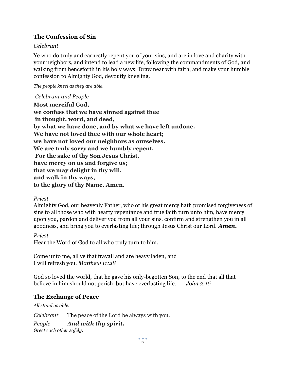# **The Confession of Sin**

# *Celebrant*

Ye who do truly and earnestly repent you of your sins, and are in love and charity with your neighbors, and intend to lead a new life, following the commandments of God, and walking from henceforth in his holy ways: Draw near with faith, and make your humble confession to Almighty God, devoutly kneeling.

*The people kneel as they are able.*

# *Celebrant and People*

**Most merciful God, we confess that we have sinned against thee in thought, word, and deed, by what we have done, and by what we have left undone. We have not loved thee with our whole heart; we have not loved our neighbors as ourselves. We are truly sorry and we humbly repent. For the sake of thy Son Jesus Christ, have mercy on us and forgive us; that we may delight in thy will, and walk in thy ways, to the glory of thy Name. Amen.**

# *Priest*

Almighty God, our heavenly Father, who of his great mercy hath promised forgiveness of sins to all those who with hearty repentance and true faith turn unto him, have mercy upon you, pardon and deliver you from all your sins, confirm and strengthen you in all goodness, and bring you to everlasting life; through Jesus Christ our Lord. *Amen.*

# *Priest*

Hear the Word of God to all who truly turn to him.

Come unto me, all ye that travail and are heavy laden, and I will refresh you. *Matthew 11:28*

God so loved the world, that he gave his only-begotten Son, to the end that all that believe in him should not perish, but have everlasting life. *John 3:16*

# **The Exchange of Peace**

*All stand as able.*

*Celebrant* The peace of the Lord be always with you.

*People And with thy spirit. Greet each other safely.*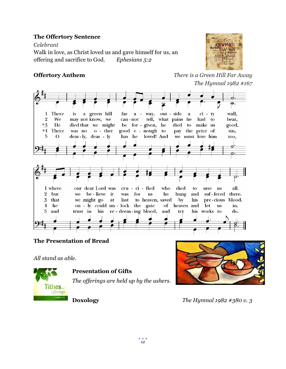# **The Offertory Sentence**

C*elebrant* Walk in love, as Christ loved us and gave himself for us, an offering and sacrifice to God. *Ephesians 5:2*



**Offertory Anthem** *There is a Green Hill Far Away The Hymnal 1982 #167*



# **The Presentation of Bread**

*All stand as able.*

l lines… offerings

# **Presentation of Gifts**

*The offerings are held up by the ushers.*



**Doxology** *The Hymnal 1982 #380 v. 3*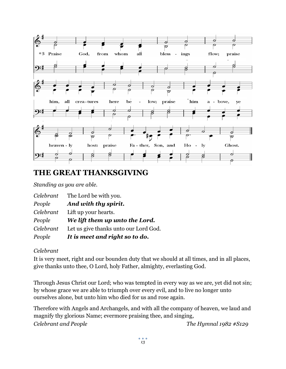

# **THE GREAT THANKSGIVING**

*Standing as you are able.*

| Celebrant | The Lord be with you.                 |
|-----------|---------------------------------------|
| People    | And with thy spirit.                  |
| Celebrant | Lift up your hearts.                  |
| People    | We lift them up unto the Lord.        |
| Celebrant | Let us give thanks unto our Lord God. |
| People    | It is meet and right so to do.        |

# *Celebrant*

It is very meet, right and our bounden duty that we should at all times, and in all places, give thanks unto thee, O Lord, holy Father, almighty, everlasting God.

Through Jesus Christ our Lord; who was tempted in every way as we are, yet did not sin; by whose grace we are able to triumph over every evil, and to live no longer unto ourselves alone, but unto him who died for us and rose again.

Therefore with Angels and Archangels, and with all the company of heaven, we laud and magnify thy glorious Name; evermore praising thee, and singing, *Celebrant and People The Hymnal 1982 #S129*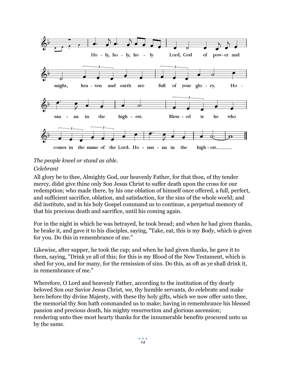

# *The people kneel or stand as able.*

# *Celebrant*

All glory be to thee, Almighty God, our heavenly Father, for that thou, of thy tender mercy, didst give thine only Son Jesus Christ to suffer death upon the cross for our redemption; who made there, by his one oblation of himself once offered, a full, perfect, and sufficient sacrifice, oblation, and satisfaction, for the sins of the whole world; and did institute, and in his holy Gospel command us to continue, a perpetual memory of that his precious death and sacrifice, until his coming again.

For in the night in which he was betrayed, he took bread; and when he had given thanks, he brake it, and gave it to his disciples, saying, "Take, eat, this is my Body, which is given for you. Do this in remembrance of me."

Likewise, after supper, he took the cup; and when he had given thanks, he gave it to them, saying, "Drink ye all of this; for this is my Blood of the New Testament, which is shed for you, and for many, for the remission of sins. Do this, as oft as ye shall drink it, in remembrance of me."

Wherefore, O Lord and heavenly Father, according to the institution of thy dearly beloved Son our Savior Jesus Christ, we, thy humble servants, do celebrate and make here before thy divine Majesty, with these thy holy gifts, which we now offer unto thee, the memorial thy Son hath commanded us to make; having in remembrance his blessed passion and precious death, his mighty resurrection and glorious ascension; rendering unto thee most hearty thanks for the innumerable benefits procured unto us by the same.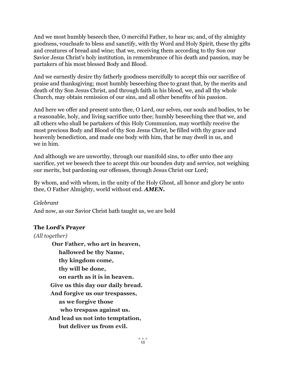And we most humbly beseech thee, O merciful Father, to hear us; and, of thy almighty goodness, vouchsafe to bless and sanctify, with thy Word and Holy Spirit, these thy gifts and creatures of bread and wine; that we, receiving them according to thy Son our Savior Jesus Christ's holy institution, in remembrance of his death and passion, may be partakers of his most blessed Body and Blood.

And we earnestly desire thy fatherly goodness mercifully to accept this our sacrifice of praise and thanksgiving; most humbly beseeching thee to grant that, by the merits and death of thy Son Jesus Christ, and through faith in his blood, we, and all thy whole Church, may obtain remission of our sins, and all other benefits of his passion.

And here we offer and present unto thee, O Lord, our selves, our souls and bodies, to be a reasonable, holy, and living sacrifice unto thee; humbly beseeching thee that we, and all others who shall be partakers of this Holy Communion, may worthily receive the most precious Body and Blood of thy Son Jesus Christ, be filled with thy grace and heavenly benediction, and made one body with him, that he may dwell in us, and we in him.

And although we are unworthy, through our manifold sins, to offer unto thee any sacrifice, yet we beseech thee to accept this our bounden duty and service, not weighing our merits, but pardoning our offenses, through Jesus Christ our Lord;

By whom, and with whom, in the unity of the Holy Ghost, all honor and glory be unto thee, O Father Almighty, world without end. *AMEN***.**

*Celebrant* And now, as our Savior Christ hath taught us, we are bold

# **The Lord's Prayer**

*(All together)*

**Our Father, who art in heaven, hallowed be thy Name, thy kingdom come, thy will be done, on earth as it is in heaven. Give us this day our daily bread. And forgive us our trespasses, as we forgive those who trespass against us. And lead us not into temptation, but deliver us from evil.**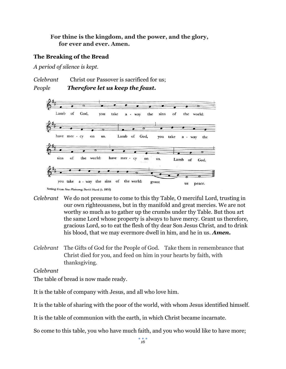### **For thine is the kingdom, and the power, and the glory, for ever and ever. Amen.**

### **The Breaking of the Bread**

*A period of silence is kept.*

*Celebrant* Christ our Passover is sacrificed for us; *People Therefore let us keep the feast.*



- *Celebrant* We do not presume to come to this thy Table, O merciful Lord, trusting in our own righteousness, but in thy manifold and great mercies. We are not worthy so much as to gather up the crumbs under thy Table. But thou art the same Lord whose property is always to have mercy. Grant us therefore, gracious Lord, so to eat the flesh of thy dear Son Jesus Christ, and to drink his blood, that we may evermore dwell in him, and he in us. *Amen.*
- *Celebrant* The Gifts of God for the People of God. Take them in remembrance that Christ died for you, and feed on him in your hearts by faith, with thanksgiving.

#### *Celebrant*

The table of bread is now made ready.

It is the table of company with Jesus, and all who love him.

It is the table of sharing with the poor of the world, with whom Jesus identified himself.

It is the table of communion with the earth, in which Christ became incarnate.

So come to this table, you who have much faith, and you who would like to have more;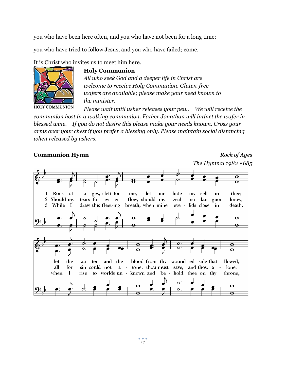you who have been here often, and you who have not been for a long time;

you who have tried to follow Jesus, and you who have failed; come.

It is Christ who invites us to meet him here.



**Holy Communion**

*All who seek God and a deeper life in Christ are welcome to receive Holy Communion. Gluten-free wafers are available; please make your need known to the minister.*

**HOLY COMMUNION** *Please wait until usher releases your pew. We will receive the communion host in a walking communion. Father Jonathan will intinct the wafer in blessed wine. If you do not desire this please make your needs known. Cross your arms over your chest if you prefer a blessing only. Please maintain social distancing when released by ushers.*

**Communion Hymn** *Rock of Ages The Hymnal 1982 #685*

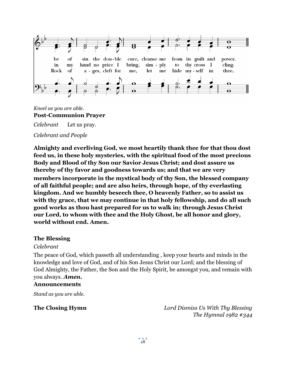

*Kneel as you are able.* **Post-Communion Prayer**  *Celebrant* Let us pray. *Celebrant and People*

**Almighty and everliving God, we most heartily thank thee for that thou dost feed us, in these holy mysteries, with the spiritual food of the most precious Body and Blood of thy Son our Savior Jesus Christ; and dost assure us thereby of thy favor and goodness towards us; and that we are very members incorporate in the mystical body of thy Son, the blessed company of all faithful people; and are also heirs, through hope, of thy everlasting kingdom. And we humbly beseech thee, O heavenly Father, so to assist us with thy grace, that we may continue in that holy fellowship, and do all such good works as thou hast prepared for us to walk in; through Jesus Christ our Lord, to whom with thee and the Holy Ghost, be all honor and glory, world without end. Amen.**

# **The Blessing**

# *Celebrant*

The peace of God, which passeth all understanding , keep your hearts and minds in the knowledge and love of God, and of his Son Jesus Christ our Lord; and the blessing of God Almighty, the Father, the Son and the Holy Spirit, be amongst you, and remain with you always. *Amen.*

#### **Announcements**

*Stand as you are able.*

**The Closing Hymn** *Lord Dismiss Us With Thy Blessing The Hymnal 1982 #344*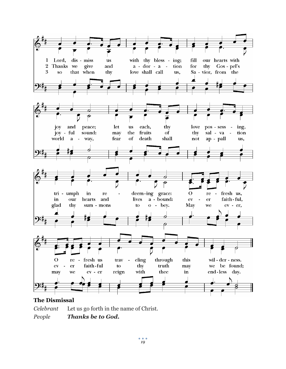

# **The Dismissal**